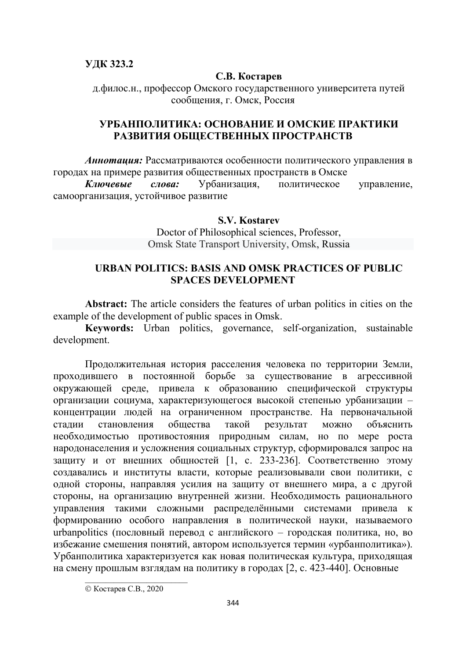### **ɍДК 323.2**

#### С.В. Костарев

д.филос.н., профессор Омского государственного университета путей сообщения, г. Омск, Россия

## **ɍРБАНПОЛИТИКА: ОСНОВАНИЕ И ОМСКИЕ ПРАКТИКИ**  РАЗВИТИЯ ОБЩЕСТВЕННЫХ ПРОСТРАНСТВ

Аннотация: Рассматриваются особенности политического управления в городах на примере развития общественных пространств в Омске

Ключевые слова: Урбанизация, политическое управление, самоорганизация, устойчивое развитие

### **S.V. Kostarev**

Doctor of Philosophical sciences, Professor, Omsk State Transport University, Omsk, Russia

## **URBAN POLITICS: BASIS AND OMSK PRACTICES OF PUBLIC SPACES DEVELOPMENT**

**Abstract:** The article considers the features of urban politics in cities on the example of the development of public spaces in Omsk.

**Keywords:** Urban politics, governance, self-organization, sustainable development.

Продолжительная история расселения человека по территории Земли, проходившего в постоянной борьбе за существование в агрессивной окружающей среде, привела к образованию специфической структуры организации социума, характеризующегося высокой степенью урбанизации концентрации людей на ограниченном пространстве. На первоначальной стадии становления общества такой результат можно объяснить необходимостью противостояния природным силам, но по мере роста народонаселения и усложнения социальных структур, сформировался запрос на защиту и от внешних общностей [1, с. 233-236]. Соответственно этому создавались и институты власти, которые реализовывали свои политики, с одной стороны, направляя усилия на защиту от внешнего мира, а с другой стороны, на организацию внутренней жизни. Необходимость рационального управления такими сложными распределёнными системами привела к формированию особого направления в политической науки, называемого urbanpolitics (пословный перевод с английского – городская политика, но, во избежание смешения понятий, автором используется термин «урбанполитика»). Урбанполитика характеризуется как новая политическая культура, приходящая на смену прошлым взглядам на политику в городах [2, с. 423-440]. Основные

© Костарев С.В., 2020

 $\mathcal{L}=\mathcal{L}=\mathcal{L}=\mathcal{L}=\mathcal{L}=\mathcal{L}=\mathcal{L}=\mathcal{L}=\mathcal{L}=\mathcal{L}=\mathcal{L}=\mathcal{L}=\mathcal{L}=\mathcal{L}=\mathcal{L}=\mathcal{L}=\mathcal{L}=\mathcal{L}=\mathcal{L}=\mathcal{L}=\mathcal{L}=\mathcal{L}=\mathcal{L}=\mathcal{L}=\mathcal{L}=\mathcal{L}=\mathcal{L}=\mathcal{L}=\mathcal{L}=\mathcal{L}=\mathcal{L}=\mathcal{L}=\mathcal{L}=\mathcal{L}=\mathcal{L}=\mathcal{L}=\mathcal{$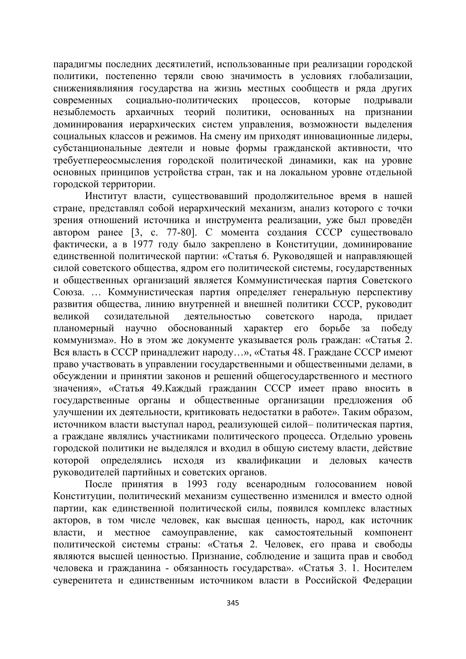парадигмы последних десятилетий, использованные при реализации городской политики, постепенно теряли свою значимость в условиях глобализации, снижениявлияния государства на жизнь местных сообществ и ряда других современных социально-политических процессов, которые подрывали незыблемость архаичных теорий политики, основанных на признании доминирования иерархических систем управления, возможности выделения социальных классов и режимов. На смену им приходят инновационные лидеры, субстанциональные деятели и новые формы гражданской активности, что требуетпереосмысления городской политической динамики, как на уровне основных принципов устройства стран, так и на локальном уровне отдельной городской территории.

Институт власти, существовавший продолжительное время в нашей стране, представлял собой иерархический механизм, анализ которого с точки зрения отношений источника и инструмента реализации, уже был проведён автором ранее  $[3, c. 77-80]$ . С момента создания СССР существовало фактически, а в 1977 году было закреплено в Конституции, доминирование единственной политической партии: «Статья 6. Руководящей и направляющей силой советского общества, ядром его политической системы, государственных и общественных организаций является Коммунистическая партия Советского Союза. ... Коммунистическая партия определяет генеральную перспективу развития общества, линию внутренней и внешней политики СССР, руководит великой созидательной деятельностью советского народа, придает планомерный научно обоснованный характер его борьбе за победу коммунизма». Но в этом же документе указывается роль граждан: «Статья 2. Вся власть в СССР принадлежит народу...», «Статья 48. Граждане СССР имеют право участвовать в управлении государственными и общественными делами, в обсуждении и принятии законов и решений общегосударственного и местного значения», «Статья 49. Каждый гражданин СССР имеет право вносить в государственные органы и общественные организации предложения об улучшении их деятельности, критиковать недостатки в работе». Таким образом, источником власти выступал народ, реализующей силой- политическая партия, а граждане являлись участниками политического процесса. Отдельно уровень городской политики не выделялся и входил в общую систему власти, действие которой определялись исходя из квалификации и деловых качеств руководителей партийных и советских органов.

После принятия в 1993 году всенародным голосованием новой Конституции, политический механизм существенно изменился и вместо одной партии, как единственной политической силы, появился комплекс властных акторов, в том числе человек, как высшая ценность, народ, как источник власти, и местное самоуправление, как самостоятельный компонент политической системы страны: «Статья 2. Человек, его права и свободы являются высшей ценностью. Признание, соблюдение и защита прав и свобод человека и гражданина - обязанность государства». «Статья 3. 1. Носителем суверенитета и единственным источником власти в Российской Федерации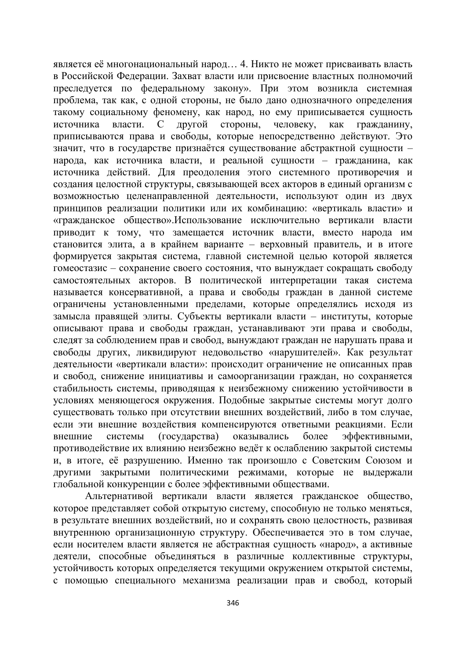является её многонациональный народ... 4. Никто не может присваивать власть в Российской Федерации. Захват власти или присвоение властных полномочий преследуется по федеральному закону». При этом возникла системная проблема, так как, с одной стороны, не было дано однозначного определения такому социальному феномену, как народ, но ему приписывается сущность источника власти. С другой стороны, человеку, как гражданину, приписываются права и свободы, которые непосредственно действуют. Это значит, что в государстве признаётся существование абстрактной сущности народа, как источника власти, и реальной сущности – гражданина, как источника действий. Для преодоления этого системного противоречия и создания целостной структуры, связывающей всех акторов в единый организм с возможностью целенаправленной деятельности, используют один из двух принципов реализации политики или их комбинацию: «вертикаль власти» и «гражданское общество».Использование исключительно вертикали власти приводит к тому, что замещается источник власти, вместо народа им становится элита, а в крайнем варианте – верховный правитель, и в итоге формируется закрытая система, главной системной целью которой является гомеостазис – сохранение своего состояния, что вынуждает сокращать свободу самостоятельных акторов. В политической интерпретации такая система называется консервативной, а права и свободы граждан в данной системе ограничены установленными пределами, которые определялись исходя из замысла правящей элиты. Субъекты вертикали власти – институты, которые описывают права и свободы граждан, устанавливают эти права и свободы, следят за соблюдением прав и свобод, вынуждают граждан не нарушать права и свободы других, ликвидируют недовольство «нарушителей». Как результат деятельности «вертикали власти»: происходит ограничение не описанных прав и свобод, снижение инициативы и самоорганизации граждан, но сохраняется стабильность системы, приводящая к неизбежному снижению устойчивости в условиях меняющегося окружения. Подобные закрытые системы могут долго существовать только при отсутствии внешних воздействий, либо в том случае, если эти внешние воздействия компенсируются ответными реакциями. Если внешние системы (государства) оказывались более эффективными, противодействие их влиянию неизбежно ведёт к ослаблению закрытой системы и, в итоге, её разрушению. Именно так произошло с Советским Союзом и другими закрытыми политическими режимами, которые не выдержали глобальной конкуренции с более эффективными обществами.

Альтернативой вертикали власти является гражданское общество, которое представляет собой открытую систему, способную не только меняться, в результате внешних воздействий, но и сохранять свою целостность, развивая внутреннюю организационную структуру. Обеспечивается это в том случае, если носителем власти является не абстрактная сущность «народ», а активные деятели, способные объединяться в различные коллективные структуры, устойчивость которых определяется текущими окружением открытой системы, с помощью специального механизма реализации прав и свобод, который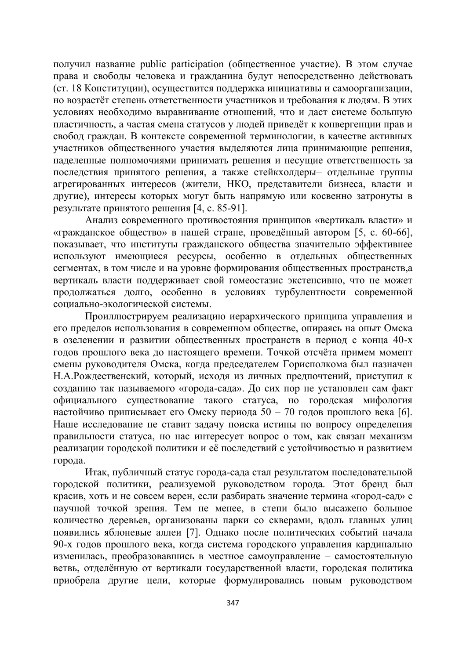получил название public participation (общественное участие). В этом случае права и свободы человека и гражданина будут непосредственно действовать (ст. 18 Конституции), осуществится поддержка инициативы и самоорганизации, но возрастёт степень ответственности участников и требования к людям. В этих условиях необходимо выравнивание отношений, что и даст системе большую пластичность, а частая смена статусов у людей приведёт к конвергенции прав и свобод граждан. В контексте современной терминологии, в качестве активных участников общественного участия выделяются лица принимающие решения, наделенные полномочиями принимать решения и несущие ответственность за последствия принятого решения, а также стейкхолдеры- отдельные группы агрегированных интересов (жители, НКО, представители бизнеса, власти и другие), интересы которых могут быть напрямую или косвенно затронуты в результате принятого решения  $[4, c. 85-91]$ .

Анализ современного противостояния принципов «вертикаль власти» и «гражданское общество» в нашей стране, проведённый автором [5, с. 60-66], показывает, что институты гражданского общества значительно эффективнее используют имеющиеся ресурсы, особенно в отдельных общественных сегментах, в том числе и на уровне формирования общественных пространств,а вертикаль власти поддерживает свой гомеостазис экстенсивно, что не может продолжаться долго, особенно в условиях турбулентности современной социально-экологической системы.

Проиллюстрируем реализацию иерархического принципа управления и его пределов использования в современном обществе, опираясь на опыт Омска в озеленении и развитии общественных пространств в период с конца 40-х годов прошлого века до настоящего времени. Точкой отсчёта примем момент смены руководителя Омска, когда председателем Горисполкома был назначен Н.А.Рождественский, который, исходя из личных предпочтений, приступил к созданию так называемого «города-сада». До сих пор не установлен сам факт официального существование такого статуса, но городская мифология настойчиво приписывает его Омску периода 50 – 70 годов прошлого века [6]. Наше исследование не ставит задачу поиска истины по вопросу определения правильности статуса, но нас интересует вопрос о том, как связан механизм реализации городской политики и её последствий с устойчивостью и развитием города.

Итак, публичный статус города-сада стал результатом последовательной городской политики, реализуемой руководством города. Этот бренд был красив, хоть и не совсем верен, если разбирать значение термина «город-сад» с научной точкой зрения. Тем не менее, в степи было высажено большое количество деревьев, организованы парки со скверами, вдоль главных улиц появились яблоневые аллеи [7]. Однако после политических событий начала 90-х годов прошлого века, когда система городского управления кардинально изменилась, преобразовавшись в местное самоуправление – самостоятельную ветвь, отделённую от вертикали государственной власти, городская политика приобрела другие цели, которые формулировались новым руководством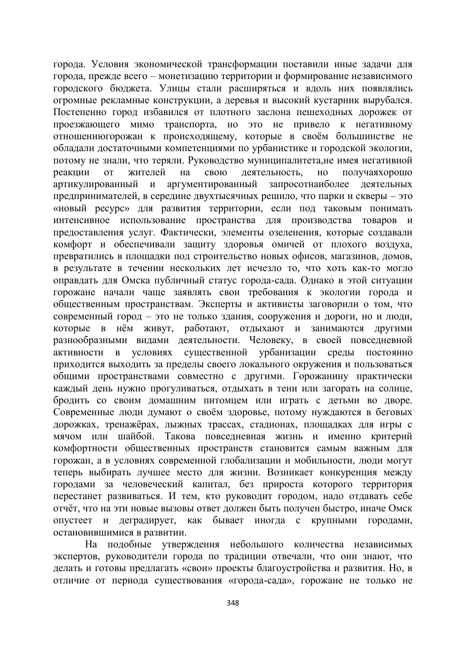города. Условия экономической трансформации поставили иные задачи для города, прежде всего – монетизацию территории и формирование независимого городского бюджета. Улицы стали расширяться и вдоль них появлялись огромные рекламные конструкции, а деревья и высокий кустарник вырубался. Постепенно город избавился от плотного заслона пешеходных дорожек от проезжающего мимо транспорта, но это не привело к негативному отношениюгорожан к происходящему, которые в своём большинстве не обладали достаточными компетенциями по урбанистике и городской экологии, потому не знали, что теряли. Руководство муниципалитета, не имея негативной реакции от жителей на свою деятельность, но получаяхорошо артикулированный и аргументированный запросотнаиболее деятельных предпринимателей, в середине двухтысячных решило, что парки и скверы - это «новый ресурс» для развития территории, если под таковым понимать интенсивное использование пространства для производства товаров и предоставления услуг. Фактически, элементы озеленения, которые создавали комфорт и обеспечивали защиту здоровья омичей от плохого воздуха, превратились в площадки под строительство новых офисов, магазинов, домов, в результате в течении нескольких лет исчезло то, что хоть как-то могло оправдать для Омска публичный статус города-сада. Однако в этой ситуации горожане начали чаще заявлять свои требования к экологии города и общественным пространствам. Эксперты и активисты заговорили о том, что современный город – это не только здания, сооружения и дороги, но и люди, которые в нём живут, работают, отдыхают и занимаются другими разнообразными видами деятельности. Человеку, в своей повседневной активности в условиях существенной урбанизации среды постоянно приходится выходить за пределы своего локального окружения и пользоваться общими пространствами совместно с другими. Горожанину практически каждый день нужно прогуливаться, отдыхать в тени или загорать на солнце, бродить со своим домашним питомцем или играть с детьми во дворе. Современные люди думают о своём здоровье, потому нуждаются в беговых дорожках, тренажёрах, лыжных трассах, стадионах, площадках для игры с мячом или шайбой. Такова повседневная жизнь и именно критерий комфортности общественных пространств становится самым важным для горожан, а в условиях современной глобализации и мобильности, люди могут теперь выбирать лучшее место для жизни. Возникает конкуренция между городами за человеческий капитал, без прироста которого территория перестанет развиваться. И тем, кто руководит городом, надо отдавать себе отчёт, что на эти новые вызовы ответ должен быть получен быстро, иначе Омск опустеет и деградирует, как бывает иногда с крупными городами, остановившимися в развитии.

На подобные утверждения небольшого количества независимых экспертов, руководители города по традиции отвечали, что они знают, что делать и готовы предлагать «свои» проекты благоустройства и развития. Но, в отличие от периода существования «города-сада», горожане не только не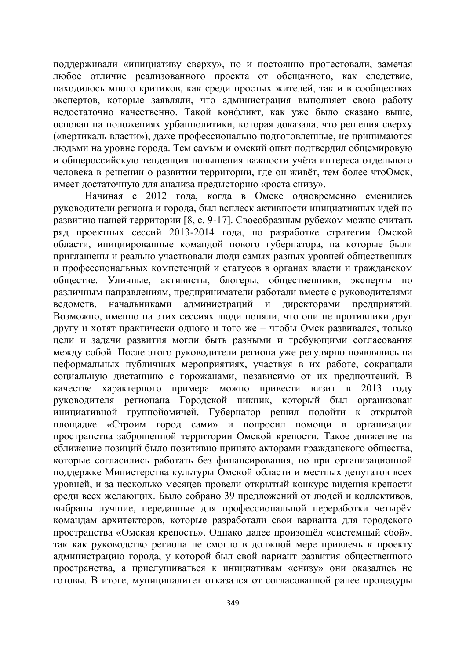поддерживали «инициативу сверху», но и постоянно протестовали, замечая любое отличие реализованного проекта от обещанного, как следствие, находилось много критиков, как среди простых жителей, так и в сообществах экспертов, которые заявляли, что администрация выполняет свою работу недостаточно качественно. Такой конфликт, как уже было сказано выше, основан на положениях урбанполитики, которая доказала, что решения сверху («вертикаль власти»), даже профессионально подготовленные, не принимаются людьми на уровне города. Тем самым и омский опыт подтвердил общемировую и общероссийскую тенденция повышения важности учёта интереса отдельного человека в решении о развитии территории, где он живёт, тем более чтоОмск, имеет достаточную для анализа предысторию «роста снизу».

Начиная с 2012 года, когда в Омске одновременно сменились руководители региона и города, был всплеск активности инициативных идей по  $\overline{12}$ развитию нашей территории [8, с. 9-17]. Своеобразным рубежом можно считать ряд проектных сессий 2013-2014 года, по разработке стратегии Омской области, инициированные командой нового губернатора, на которые были приглашены и реально участвовали люди самых разных уровней общественных и профессиональных компетенций и статусов в органах власти и гражданском обществе. Уличные, активисты, блогеры, общественники, эксперты по различным направлениям, предприниматели работали вместе с руководителями ведомств, начальниками администраций и директорами предприятий. Возможно, именно на этих сессиях люди поняли, что они не противники друг другу и хотят практически одного и того же – чтобы Омск развивался, только цели и задачи развития могли быть разными и требующими согласования между собой. После этого руководители региона уже регулярно появлялись на неформальных публичных мероприятиях, участвуя в их работе, сокращали социальную дистанцию с горожанами, независимо от их предпочтений. В качестве характерного примера можно привести визит в 2013 году руководителя регионана Городской пикник, который был организован инициативной группойомичей. Губернатор решил подойти к открытой площадке «Строим город сами» и попросил помощи в организации пространства заброшенной территории Омской крепости. Такое движение на сближение позиций было позитивно принято акторами гражданского общества, которые согласились работать без финансирования, но при организационной поддержке Министерства культуры Омской области и местных депутатов всех уровней, и за несколько месяцев провели открытый конкурс видения крепости среди всех желающих. Было собрано 39 предложений от людей и коллективов, выбраны лучшие, переданные для профессиональной переработки четырём командам архитекторов, которые разработали свои варианта для городского пространства «Омская крепость». Однако далее произошёл «системный сбой», так как руководство региона не смогло в должной мере привлечь к проекту администрацию города, у которой был свой вариант развития общественного пространства, а прислушиваться к инициативам «снизу» они оказались не готовы. В итоге, муниципалитет отказался от согласованной ранее процедуры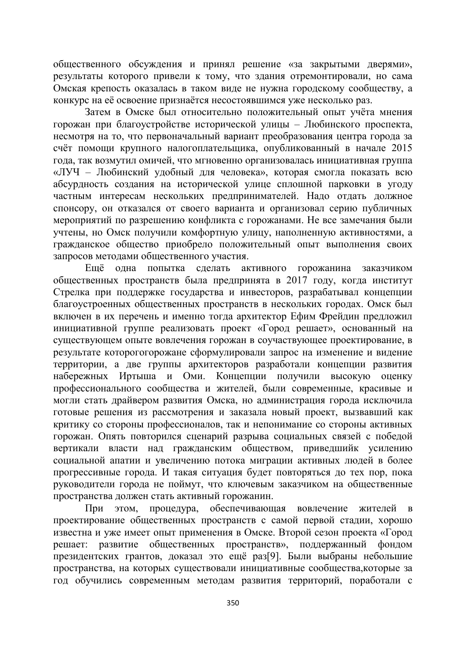общественного обсуждения и принял решение «за закрытыми дверями», результаты которого привели к тому, что здания отремонтировали, но сама Омская крепость оказалась в таком виде не нужна городскому сообществу, а конкурс на её освоение признаётся несостоявшимся уже несколько раз.

Затем в Омске был относительно положительный опыт учёта мнения горожан при благоустройстве исторической улицы – Любинского проспекта, несмотря на то, что первоначальный вариант преобразования центра города за счёт помощи крупного налогоплательщика, опубликованный в начале 2015 года, так возмутил омичей, что мгновенно организовалась инициативная группа «ЛУЧ – Любинский удобный для человека», которая смогла показать всю абсурдность создания на исторической улице сплошной парковки в угоду частным интересам нескольких предпринимателей. Надо отдать должное спонсору, он отказался от своего варианта и организовал серию публичных мероприятий по разрешению конфликта с горожанами. Не все замечания были учтены, но Омск получили комфортную улицу, наполненную активностями, а гражданское общество приобрело положительный опыт выполнения своих запросов методами общественного участия.

Ещё одна попытка сделать активного горожанина заказчиком общественных пространств была предпринята в 2017 году, когда институт Стрелка при поддержке государства и инвесторов, разрабатывал концепции благоустроенных общественных пространств в нескольких городах. Омск был включен в их перечень и именно тогда архитектор Ефим Фрейдин предложил инициативной группе реализовать проект «Город решает», основанный на существующем опыте вовлечения горожан в соучаствующее проектирование, в результате которогогорожане сформулировали запрос на изменение и видение территории, а две группы архитекторов разработали концепции развития набережных Иртыша и Оми. Концепции получили высокую оценку профессионального сообщества и жителей, были современные, красивые и могли стать драйвером развития Омска, но администрация города исключила готовые решения из рассмотрения и заказала новый проект, вызвавший как критику со стороны профессионалов, так и непонимание со стороны активных горожан. Опять повторился сценарий разрыва социальных связей с победой вертикали власти над гражданским обществом, приведшийк усилению социальной апатии и увеличению потока миграции активных людей в более прогрессивные города. И такая ситуация будет повторяться до тех пор, пока руководители города не поймут, что ключевым заказчиком на общественные пространства должен стать активный горожанин.

При этом, процедура, обеспечивающая вовлечение жителей в проектирование общественных пространств с самой первой стадии, хорошо известна и уже имеет опыт применения в Омске. Второй сезон проекта «Город решает: развитие общественных пространств», поддержанный фондом президентских грантов, доказал это ещё раз[9]. Были выбраны небольшие пространства, на которых существовали инициативные сообщества, которые за год обучились современным методам развития территорий, поработали с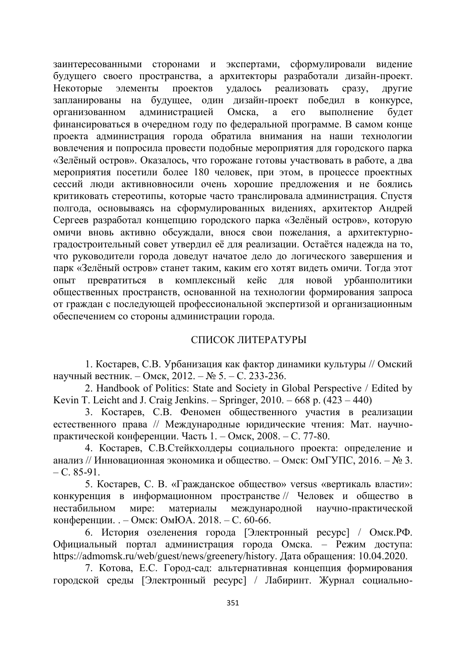заинтересованными сторонами и экспертами, сформулировали видение будущего своего пространства, а архитекторы разработали дизайн-проект. Некоторые элементы проектов удалось реализовать сразу, другие запланированы на будущее, один дизайн-проект победил в конкурсе, организованном администрацией Омска, а его выполнение будет финансироваться в очередном году по федеральной программе. В самом конце проекта администрация города обратила внимания на наши технологии вовлечения и попросила провести подобные мероприятия для городского парка «Зелёный остров». Оказалось, что горожане готовы участвовать в работе, а два мероприятия посетили более 180 человек, при этом, в процессе проектных сессий люди активновносили очень хорошие предложения и не боялись критиковать стереотипы, которые часто транслировала администрация. Спустя полгода, основываясь на сформулированных видениях, архитектор Андрей Сергеев разработал концепцию городского парка «Зелёный остров», которую омичи вновь активно обсуждали, внося свои пожелания, а архитектурноградостроительный совет утвердил её для реализации. Остаётся надежда на то, что руководители города доведут начатое дело до логического завершения и парк «Зелёный остров» станет таким, каким его хотят видеть омичи. Тогда этот опыт превратиться в комплексный кейс для новой урбанполитики общественных пространств, основанной на технологии формирования запроса от граждан с последующей профессиональной экспертизой и организационным обеспечением со стороны администрации города.

# СПИСОК ЛИТЕРАТУРЫ

1. Костарев, С.В. Урбанизация как фактор динамики культуры // Омский научный вестник. – Омск, 2012. – № 5. – С. 233-236.

2. Handbook of Politics: State and Society in Global Perspective / Edited by Kevin T. Leicht and J. Craig Jenkins. – Springer,  $2010. -668$  p.  $(423 - 440)$ 

3. Костарев, С.В. Феномен общественного участия в реализации естественного права // Международные юридические чтения: Мат. научнопрактической конференции. Часть 1. – Омск, 2008. – С. 77-80.

4. Костарев, С.В.Стейкхолдеры социального проекта: определение и анализ // Инновационная экономика и общество. – Омск: ОмГУПС, 2016. – № 3.  $- C. 85-91.$ 

5. Костарев, С. В. «Гражданское общество» versus «вертикаль власти»: конкуренция в информационном пространстве // Человек и общество в нестабильном мире: материалы международной научно-практической конференции. . – Омск: ОмЮА. 2018. – С. 60-66.

6. История озеленения города [Электронный ресурс] / Омск. РФ. Официальный портал администрация города Омска. – Режим доступа: https://admomsk.ru/web/guest/news/greenery/history. Дата обращения: 10.04.2020.

7. Котова, Е.С. Город-сад: альтернативная концепция формирования городской среды [Электронный ресурс] / Лабиринт. Журнал социально